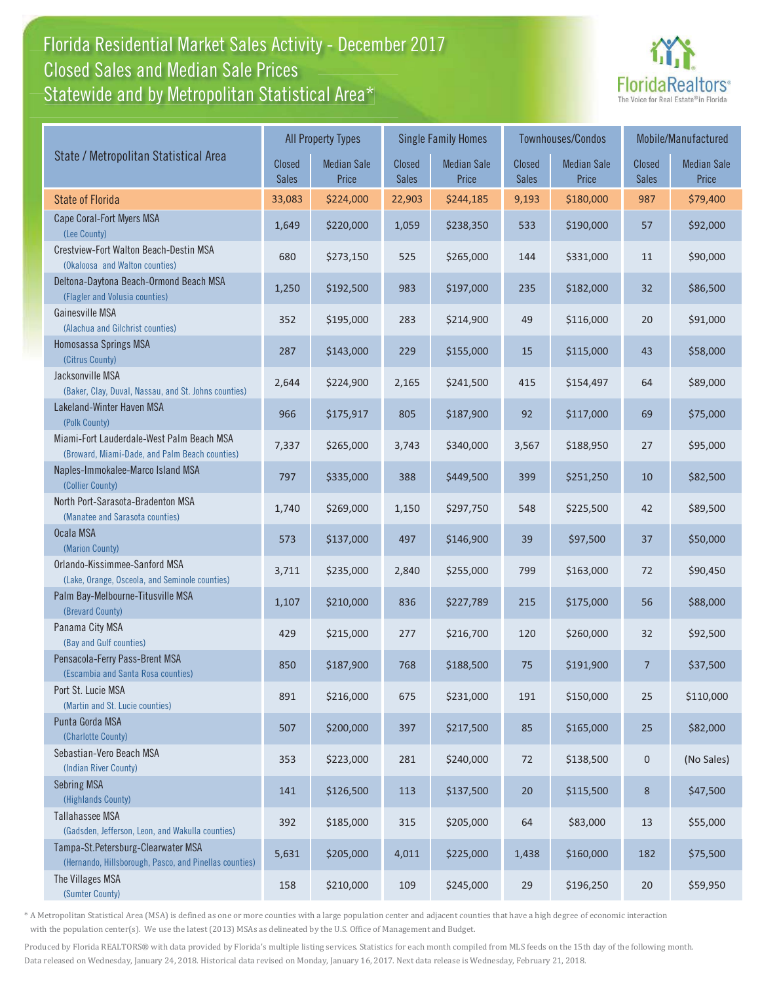## Florida Residential Market Sales Activity - December 2017 Florida Residential Market Sales Activity Statewide and by Metropolitan Statistical Area $^{\star}$ Closed Sales and Median Sale Prices



|                                                                                              | <b>All Property Types</b>     |                             |                        | <b>Single Family Homes</b>  |                        | Townhouses/Condos           | Mobile/Manufactured           |                             |
|----------------------------------------------------------------------------------------------|-------------------------------|-----------------------------|------------------------|-----------------------------|------------------------|-----------------------------|-------------------------------|-----------------------------|
| State / Metropolitan Statistical Area                                                        | <b>Closed</b><br><b>Sales</b> | <b>Median Sale</b><br>Price | Closed<br><b>Sales</b> | <b>Median Sale</b><br>Price | Closed<br><b>Sales</b> | <b>Median Sale</b><br>Price | <b>Closed</b><br><b>Sales</b> | <b>Median Sale</b><br>Price |
| <b>State of Florida</b>                                                                      | 33,083                        | \$224,000                   | 22,903                 | \$244,185                   | 9,193                  | \$180,000                   | 987                           | \$79,400                    |
| Cape Coral-Fort Myers MSA<br>(Lee County)                                                    | 1,649                         | \$220,000                   | 1,059                  | \$238,350                   | 533                    | \$190,000                   | 57                            | \$92,000                    |
| Crestview-Fort Walton Beach-Destin MSA<br>(Okaloosa and Walton counties)                     | 680                           | \$273,150                   | 525                    | \$265,000                   | 144                    | \$331,000                   | 11                            | \$90,000                    |
| Deltona-Daytona Beach-Ormond Beach MSA<br>(Flagler and Volusia counties)                     | 1,250                         | \$192,500                   | 983                    | \$197,000                   | 235                    | \$182,000                   | 32                            | \$86,500                    |
| Gainesville MSA<br>(Alachua and Gilchrist counties)                                          | 352                           | \$195,000                   | 283                    | \$214,900                   | 49                     | \$116,000                   | 20                            | \$91,000                    |
| Homosassa Springs MSA<br>(Citrus County)                                                     | 287                           | \$143,000                   | 229                    | \$155,000                   | 15                     | \$115,000                   | 43                            | \$58,000                    |
| Jacksonville MSA<br>(Baker, Clay, Duval, Nassau, and St. Johns counties)                     | 2,644                         | \$224,900                   | 2,165                  | \$241,500                   | 415                    | \$154,497                   | 64                            | \$89,000                    |
| Lakeland-Winter Haven MSA<br>(Polk County)                                                   | 966                           | \$175,917                   | 805                    | \$187,900                   | 92                     | \$117,000                   | 69                            | \$75,000                    |
| Miami-Fort Lauderdale-West Palm Beach MSA<br>(Broward, Miami-Dade, and Palm Beach counties)  | 7,337                         | \$265,000                   | 3,743                  | \$340,000                   | 3,567                  | \$188,950                   | 27                            | \$95,000                    |
| Naples-Immokalee-Marco Island MSA<br>(Collier County)                                        | 797                           | \$335,000                   | 388                    | \$449,500                   | 399                    | \$251,250                   | 10                            | \$82,500                    |
| North Port-Sarasota-Bradenton MSA<br>(Manatee and Sarasota counties)                         | 1,740                         | \$269,000                   | 1,150                  | \$297,750                   | 548                    | \$225,500                   | 42                            | \$89,500                    |
| Ocala MSA<br>(Marion County)                                                                 | 573                           | \$137,000                   | 497                    | \$146,900                   | 39                     | \$97,500                    | 37                            | \$50,000                    |
| Orlando-Kissimmee-Sanford MSA<br>(Lake, Orange, Osceola, and Seminole counties)              | 3,711                         | \$235,000                   | 2,840                  | \$255,000                   | 799                    | \$163,000                   | 72                            | \$90,450                    |
| Palm Bay-Melbourne-Titusville MSA<br>(Brevard County)                                        | 1,107                         | \$210,000                   | 836                    | \$227,789                   | 215                    | \$175,000                   | 56                            | \$88,000                    |
| Panama City MSA<br>(Bay and Gulf counties)                                                   | 429                           | \$215,000                   | 277                    | \$216,700                   | 120                    | \$260,000                   | 32                            | \$92,500                    |
| Pensacola-Ferry Pass-Brent MSA<br>(Escambia and Santa Rosa counties)                         | 850                           | \$187,900                   | 768                    | \$188,500                   | 75                     | \$191,900                   | $\overline{7}$                | \$37,500                    |
| Port St. Lucie MSA<br>(Martin and St. Lucie counties)                                        | 891                           | \$216,000                   | 675                    | \$231,000                   | 191                    | \$150,000                   | 25                            | \$110,000                   |
| Punta Gorda MSA<br>(Charlotte County)                                                        | 507                           | \$200,000                   | 397                    | \$217,500                   | 85                     | \$165,000                   | 25                            | \$82,000                    |
| Sebastian-Vero Beach MSA<br>(Indian River County)                                            | 353                           | \$223,000                   | 281                    | \$240,000                   | 72                     | \$138,500                   | $\pmb{0}$                     | (No Sales)                  |
| <b>Sebring MSA</b><br>(Highlands County)                                                     | 141                           | \$126,500                   | 113                    | \$137,500                   | $20\,$                 | \$115,500                   | 8                             | \$47,500                    |
| Tallahassee MSA<br>(Gadsden, Jefferson, Leon, and Wakulla counties)                          | 392                           | \$185,000                   | 315                    | \$205,000                   | 64                     | \$83,000                    | 13                            | \$55,000                    |
| Tampa-St.Petersburg-Clearwater MSA<br>(Hernando, Hillsborough, Pasco, and Pinellas counties) | 5,631                         | \$205,000                   | 4,011                  | \$225,000                   | 1,438                  | \$160,000                   | 182                           | \$75,500                    |
| The Villages MSA<br>(Sumter County)                                                          | 158                           | \$210,000                   | 109                    | \$245,000                   | 29                     | \$196,250                   | 20                            | \$59,950                    |

\* A Metropolitan Statistical Area (MSA) is defined as one or more counties with a large population center and adjacent counties that have a high degree of economic interaction with the population center(s). We use the latest (2013) MSAs as delineated by the U.S. Office of Management and Budget.

Produced by Florida REALTORS® with data provided by Florida's multiple listing services. Statistics for each month compiled from MLS feeds on the 15th day of the following month. Data released on Wednesday, January 24, 2018. Historical data revised on Monday, January 16, 2017. Next data release is Wednesday, February 21, 2018.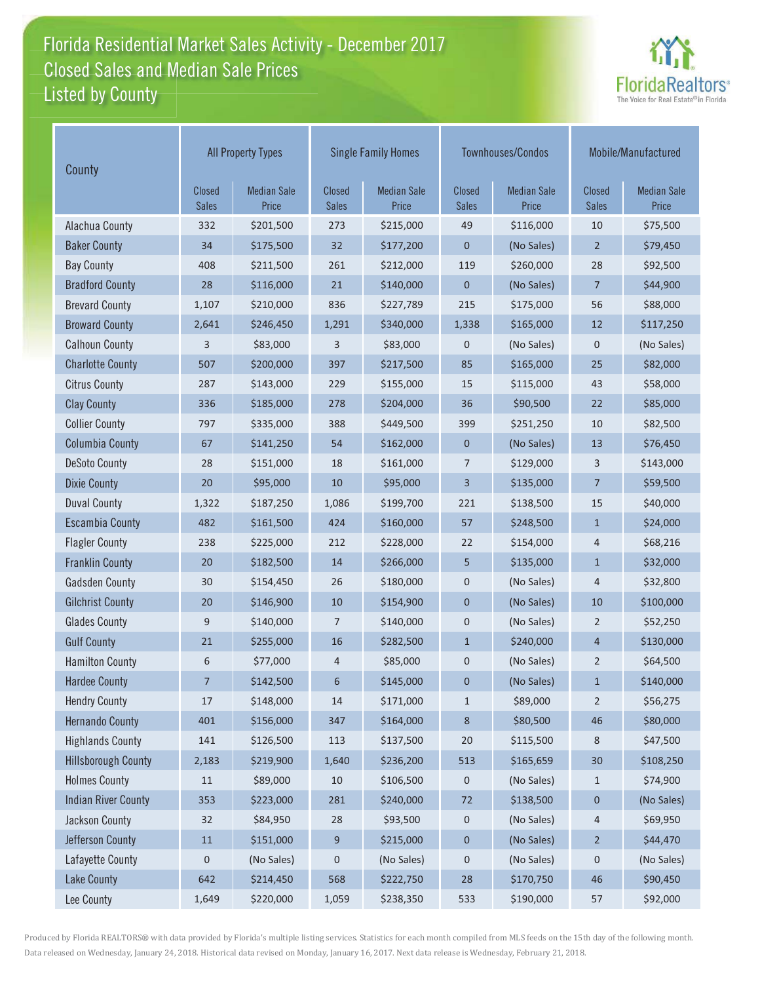## Florida Residential Market Sales Activity - December 2017 Florida Residential Market Sales Activity Listed by County Closed Sales and Median Sale Prices



| County                     | <b>All Property Types</b>     |                             |                               | <b>Single Family Homes</b>  |                               | Townhouses/Condos           | Mobile/Manufactured    |                             |
|----------------------------|-------------------------------|-----------------------------|-------------------------------|-----------------------------|-------------------------------|-----------------------------|------------------------|-----------------------------|
|                            | <b>Closed</b><br><b>Sales</b> | <b>Median Sale</b><br>Price | <b>Closed</b><br><b>Sales</b> | <b>Median Sale</b><br>Price | <b>Closed</b><br><b>Sales</b> | <b>Median Sale</b><br>Price | Closed<br><b>Sales</b> | <b>Median Sale</b><br>Price |
| Alachua County             | 332                           | \$201,500                   | 273                           | \$215,000                   | 49                            | \$116,000                   | 10                     | \$75,500                    |
| <b>Baker County</b>        | 34                            | \$175,500                   | 32                            | \$177,200                   | 0                             | (No Sales)                  | $\overline{2}$         | \$79,450                    |
| <b>Bay County</b>          | 408                           | \$211,500                   | 261                           | \$212,000                   | 119                           | \$260,000                   | 28                     | \$92,500                    |
| <b>Bradford County</b>     | 28                            | \$116,000                   | 21                            | \$140,000                   | $\boldsymbol{0}$              | (No Sales)                  | $\overline{7}$         | \$44,900                    |
| <b>Brevard County</b>      | 1,107                         | \$210,000                   | 836                           | \$227,789                   | 215                           | \$175,000                   | 56                     | \$88,000                    |
| <b>Broward County</b>      | 2,641                         | \$246,450                   | 1,291                         | \$340,000                   | 1,338                         | \$165,000                   | 12                     | \$117,250                   |
| <b>Calhoun County</b>      | 3                             | \$83,000                    | 3                             | \$83,000                    | 0                             | (No Sales)                  | $\mathsf 0$            | (No Sales)                  |
| <b>Charlotte County</b>    | 507                           | \$200,000                   | 397                           | \$217,500                   | 85                            | \$165,000                   | 25                     | \$82,000                    |
| <b>Citrus County</b>       | 287                           | \$143,000                   | 229                           | \$155,000                   | 15                            | \$115,000                   | 43                     | \$58,000                    |
| <b>Clay County</b>         | 336                           | \$185,000                   | 278                           | \$204,000                   | 36                            | \$90,500                    | 22                     | \$85,000                    |
| <b>Collier County</b>      | 797                           | \$335,000                   | 388                           | \$449,500                   | 399                           | \$251,250                   | 10                     | \$82,500                    |
| <b>Columbia County</b>     | 67                            | \$141,250                   | 54                            | \$162,000                   | $\mathbf 0$                   | (No Sales)                  | 13                     | \$76,450                    |
| <b>DeSoto County</b>       | 28                            | \$151,000                   | 18                            | \$161,000                   | 7                             | \$129,000                   | 3                      | \$143,000                   |
| <b>Dixie County</b>        | 20                            | \$95,000                    | 10                            | \$95,000                    | 3                             | \$135,000                   | $\overline{7}$         | \$59,500                    |
| <b>Duval County</b>        | 1,322                         | \$187,250                   | 1,086                         | \$199,700                   | 221                           | \$138,500                   | 15                     | \$40,000                    |
| <b>Escambia County</b>     | 482                           | \$161,500                   | 424                           | \$160,000                   | 57                            | \$248,500                   | $\mathbf{1}$           | \$24,000                    |
| <b>Flagler County</b>      | 238                           | \$225,000                   | 212                           | \$228,000                   | 22                            | \$154,000                   | 4                      | \$68,216                    |
| <b>Franklin County</b>     | 20                            | \$182,500                   | 14                            | \$266,000                   | 5                             | \$135,000                   | $\mathbf{1}$           | \$32,000                    |
| <b>Gadsden County</b>      | 30                            | \$154,450                   | 26                            | \$180,000                   | 0                             | (No Sales)                  | 4                      | \$32,800                    |
| <b>Gilchrist County</b>    | 20                            | \$146,900                   | 10                            | \$154,900                   | 0                             | (No Sales)                  | 10                     | \$100,000                   |
| <b>Glades County</b>       | 9                             | \$140,000                   | 7                             | \$140,000                   | 0                             | (No Sales)                  | $\overline{2}$         | \$52,250                    |
| <b>Gulf County</b>         | 21                            | \$255,000                   | 16                            | \$282,500                   | $\mathbf{1}$                  | \$240,000                   | $\overline{4}$         | \$130,000                   |
| <b>Hamilton County</b>     | 6                             | \$77,000                    | 4                             | \$85,000                    | 0                             | (No Sales)                  | $\overline{2}$         | \$64,500                    |
| <b>Hardee County</b>       | $\overline{7}$                | \$142,500                   | 6                             | \$145,000                   | 0                             | (No Sales)                  | $\mathbf{1}$           | \$140,000                   |
| <b>Hendry County</b>       | 17                            | \$148,000                   | 14                            | \$171,000                   | $\mathbf{1}$                  | \$89,000                    | $\overline{2}$         | \$56,275                    |
| <b>Hernando County</b>     | 401                           | \$156,000                   | 347                           | \$164,000                   | 8                             | \$80,500                    | 46                     | \$80,000                    |
| <b>Highlands County</b>    | 141                           | \$126,500                   | 113                           | \$137,500                   | 20                            | \$115,500                   | 8                      | \$47,500                    |
| <b>Hillsborough County</b> | 2,183                         | \$219,900                   | 1,640                         | \$236,200                   | 513                           | \$165,659                   | 30 <sub>o</sub>        | \$108,250                   |
| <b>Holmes County</b>       | 11                            | \$89,000                    | 10                            | \$106,500                   | 0                             | (No Sales)                  | $\mathbf{1}$           | \$74,900                    |
| <b>Indian River County</b> | 353                           | \$223,000                   | 281                           | \$240,000                   | 72                            | \$138,500                   | $\pmb{0}$              | (No Sales)                  |
| Jackson County             | 32                            | \$84,950                    | 28                            | \$93,500                    | 0                             | (No Sales)                  | 4                      | \$69,950                    |
| Jefferson County           | $11\,$                        | \$151,000                   | 9                             | \$215,000                   | $\mathbf 0$                   | (No Sales)                  | $\overline{2}$         | \$44,470                    |
| Lafayette County           | $\mathsf 0$                   | (No Sales)                  | $\pmb{0}$                     | (No Sales)                  | 0                             | (No Sales)                  | 0                      | (No Sales)                  |
| Lake County                | 642                           | \$214,450                   | 568                           | \$222,750                   | 28                            | \$170,750                   | 46                     | \$90,450                    |
| Lee County                 | 1,649                         | \$220,000                   | 1,059                         | \$238,350                   | 533                           | \$190,000                   | 57                     | \$92,000                    |

Produced by Florida REALTORS® with data provided by Florida's multiple listing services. Statistics for each month compiled from MLS feeds on the 15th day of the following month. Data released on Wednesday, January 24, 2018. Historical data revised on Monday, January 16, 2017. Next data release is Wednesday, February 21, 2018.